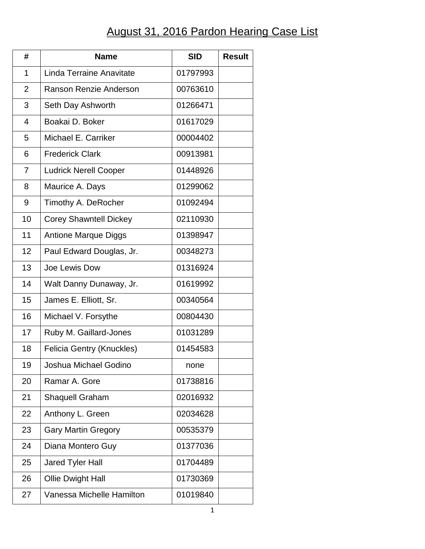## August 31, 2016 Pardon Hearing Case List

| #              | <b>Name</b>                   | <b>SID</b> | <b>Result</b> |
|----------------|-------------------------------|------------|---------------|
| 1              | Linda Terraine Anavitate      | 01797993   |               |
| $\overline{2}$ | Ranson Renzie Anderson        | 00763610   |               |
| 3              | Seth Day Ashworth             | 01266471   |               |
| $\overline{4}$ | Boakai D. Boker               | 01617029   |               |
| 5              | Michael E. Carriker           | 00004402   |               |
| 6              | <b>Frederick Clark</b>        | 00913981   |               |
| 7              | <b>Ludrick Nerell Cooper</b>  | 01448926   |               |
| 8              | Maurice A. Days               | 01299062   |               |
| 9              | Timothy A. DeRocher           | 01092494   |               |
| 10             | <b>Corey Shawntell Dickey</b> | 02110930   |               |
| 11             | <b>Antione Marque Diggs</b>   | 01398947   |               |
| 12             | Paul Edward Douglas, Jr.      | 00348273   |               |
| 13             | Joe Lewis Dow                 | 01316924   |               |
| 14             | Walt Danny Dunaway, Jr.       | 01619992   |               |
| 15             | James E. Elliott, Sr.         | 00340564   |               |
| 16             | Michael V. Forsythe           | 00804430   |               |
| 17             | Ruby M. Gaillard-Jones        | 01031289   |               |
| 18             | Felicia Gentry (Knuckles)     | 01454583   |               |
| 19             | Joshua Michael Godino         | none       |               |
| 20             | Ramar A. Gore                 | 01738816   |               |
| 21             | <b>Shaquell Graham</b>        | 02016932   |               |
| 22             | Anthony L. Green              | 02034628   |               |
| 23             | <b>Gary Martin Gregory</b>    | 00535379   |               |
| 24             | Diana Montero Guy             | 01377036   |               |
| 25             | <b>Jared Tyler Hall</b>       | 01704489   |               |
| 26             | <b>Ollie Dwight Hall</b>      | 01730369   |               |
| 27             | Vanessa Michelle Hamilton     | 01019840   |               |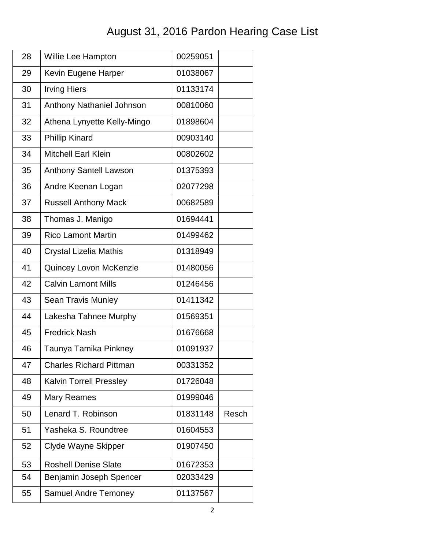## August 31, 2016 Pardon Hearing Case List

| 28 | Willie Lee Hampton             | 00259051 |       |
|----|--------------------------------|----------|-------|
| 29 | Kevin Eugene Harper            | 01038067 |       |
| 30 | <b>Irving Hiers</b>            | 01133174 |       |
| 31 | Anthony Nathaniel Johnson      | 00810060 |       |
| 32 | Athena Lynyette Kelly-Mingo    | 01898604 |       |
| 33 | <b>Phillip Kinard</b>          | 00903140 |       |
| 34 | <b>Mitchell Earl Klein</b>     | 00802602 |       |
| 35 | <b>Anthony Santell Lawson</b>  | 01375393 |       |
| 36 | Andre Keenan Logan             | 02077298 |       |
| 37 | <b>Russell Anthony Mack</b>    | 00682589 |       |
| 38 | Thomas J. Manigo               | 01694441 |       |
| 39 | <b>Rico Lamont Martin</b>      | 01499462 |       |
| 40 | Crystal Lizelia Mathis         | 01318949 |       |
| 41 | <b>Quincey Lovon McKenzie</b>  | 01480056 |       |
| 42 | <b>Calvin Lamont Mills</b>     | 01246456 |       |
| 43 | <b>Sean Travis Munley</b>      | 01411342 |       |
| 44 | Lakesha Tahnee Murphy          | 01569351 |       |
| 45 | <b>Fredrick Nash</b>           | 01676668 |       |
| 46 | Taunya Tamika Pinkney          | 01091937 |       |
| 47 | <b>Charles Richard Pittman</b> | 00331352 |       |
| 48 | <b>Kalvin Torrell Pressley</b> | 01726048 |       |
| 49 | Mary Reames                    | 01999046 |       |
| 50 | Lenard T. Robinson             | 01831148 | Resch |
| 51 | Yasheka S. Roundtree           | 01604553 |       |
| 52 | Clyde Wayne Skipper            | 01907450 |       |
| 53 | <b>Roshell Denise Slate</b>    | 01672353 |       |
| 54 | Benjamin Joseph Spencer        | 02033429 |       |
| 55 | <b>Samuel Andre Temoney</b>    | 01137567 |       |